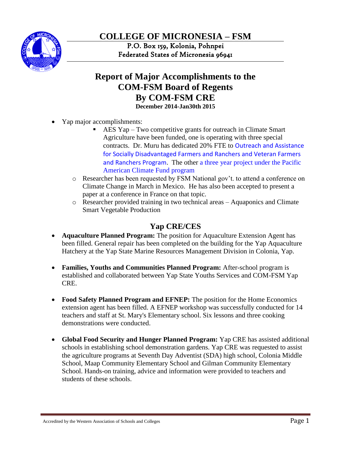

**COLLEGE OF MICRONESIA – FSM**

P.O. Box 159, Kolonia, Pohnpei Federated States of Micronesia 96941

# **Report of Major Accomplishments to the COM-FSM Board of Regents By COM-FSM CRE December 2014-Jan30th 2015**

- Yap major accomplishments:
	- AES Yap Two competitive grants for outreach in Climate Smart Agriculture have been funded, one is operating with three special contracts. Dr. Muru has dedicated 20% FTE to Outreach and Assistance for Socially Disadvantaged Farmers and Ranchers and Veteran Farmers and Ranchers Program. The other a three year project under the Pacific American Climate Fund program
	- o Researcher has been requested by FSM National gov't. to attend a conference on Climate Change in March in Mexico. He has also been accepted to present a paper at a conference in France on that topic.
	- o Researcher provided training in two technical areas Aquaponics and Climate Smart Vegetable Production

## **Yap CRE/CES**

- **Aquaculture Planned Program:** The position for Aquaculture Extension Agent has been filled. General repair has been completed on the building for the Yap Aquaculture Hatchery at the Yap State Marine Resources Management Division in Colonia, Yap.
- Families, Youths and Communities Planned Program: After-school program is established and collaborated between Yap State Youths Services and COM-FSM Yap CRE.
- **Food Safety Planned Program and EFNEP:** The position for the Home Economics extension agent has been filled. A EFNEP workshop was successfully conducted for 14 teachers and staff at St. Mary's Elementary school. Six lessons and three cooking demonstrations were conducted.
- **Global Food Security and Hunger Planned Program:** Yap CRE has assisted additional schools in establishing school demonstration gardens. Yap CRE was requested to assist the agriculture programs at Seventh Day Adventist (SDA) high school, Colonia Middle School, Maap Community Elementary School and Gilman Community Elementary School. Hands-on training, advice and information were provided to teachers and students of these schools.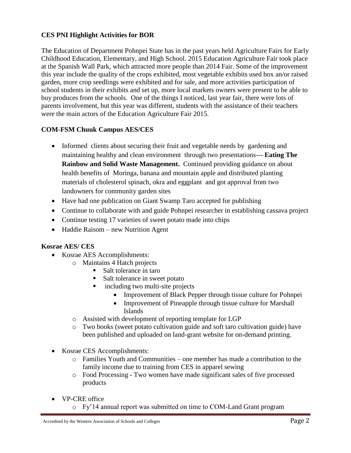#### **CES PNI Highlight Activities for BOR**

The Education of Department Pohnpei State has in the past years held Agriculture Fairs for Early Childhood Education, Elementary, and High School. 2015 Education Agriculture Fair took place at the Spanish Wall Park, which attracted more people than 2014 Fair. Some of the improvement this year include the quality of the crops exhibited, most vegetable exhibits used box an/or raised garden, more crop seedlings were exhibited and for sale, and more activities participation of school students in their exhibits and set up, more local markets owners were present to be able to buy produces from the schools. One of the things I noticed, last year fair, there were lots of parents involvement, but this year was different, students with the assistance of their teachers were the main actors of the Education Agriculture Fair 2015.

#### **COM-FSM Chuuk Campus AES/CES**

- Informed clients about securing their fruit and vegetable needs by gardening and maintaining healthy and clean environment through two presentations--- **Eating The Rainbow and Solid Waste Management.** Continued providing guidance on about health benefits of Moringa, banana and mountain apple and distributed planting materials of cholesterol spinach, okra and eggplant and got approval from two landowners for community garden sites
- Have had one publication on Giant Swamp Taro accepted for publishing
- Continue to collaborate with and guide Pohnpei researcher in establishing cassava project
- Continue testing 17 varieties of sweet potato made into chips
- Haddie Raisom new Nutrition Agent

#### **Kosrae AES/ CES**

- Kosrae AES Accomplishments:
	- o Maintains 4 Hatch projects
		- Salt tolerance in taro
		- Salt tolerance in sweet potato
		- including two multi-site projects
			- Improvement of Black Pepper through tissue culture for Pohnpei
			- Improvement of Pineapple through tissue culture for Marshall Islands
	- o Assisted with development of reporting template for LGP
	- o Two books (sweet potato cultivation guide and soft taro cultivation guide) have been published and uploaded on land-grant website for on-demand printing.
- Kosrae CES Accomplishments:
	- o Families Youth and Communities one member has made a contribution to the family income due to training from CES in apparel sewing
	- o Food Processing Two women have made significant sales of five processed products
- VP-CRE office
	- o Fy'14 annual report was submitted on time to COM-Land Grant program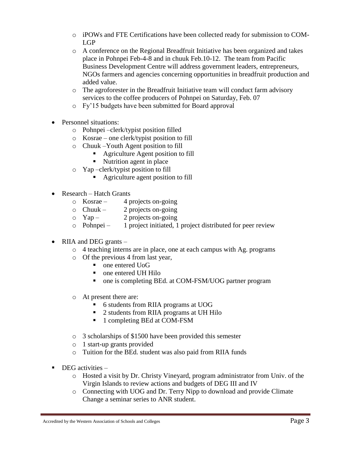- o iPOWs and FTE Certifications have been collected ready for submission to COM-LGP
- o A conference on the Regional Breadfruit Initiative has been organized and takes place in Pohnpei Feb-4-8 and in chuuk Feb.10-12. The team from Pacific Business Development Centre will address government leaders, entrepreneurs, NGOs farmers and agencies concerning opportunities in breadfruit production and added value.
- o The agroforester in the Breadfruit Initiative team will conduct farm advisory services to the coffee producers of Pohnpei on Saturday, Feb. 07
- o Fy'15 budgets have been submitted for Board approval
- Personnel situations:
	- o Pohnpei –clerk/typist position filled
	- o Kosrae one clerk/typist position to fill
	- o Chuuk –Youth Agent position to fill
		- Agriculture Agent position to fill
		- Nutrition agent in place
	- o Yap –clerk/typist position to fill
		- Agriculture agent position to fill
- Research Hatch Grants
	- $\circ$  Kosrae 4 projects on-going
	- $\circ$  Chuuk 2 projects on-going
	- $\circ$  Yap 2 projects on-going
	- o Pohnpei 1 project initiated, 1 project distributed for peer review
- RIIA and DEG grants
	- o 4 teaching interns are in place, one at each campus with Ag. programs
	- o Of the previous 4 from last year,
		- one entered UoG
		- one entered UH Hilo
		- one is completing BEd. at COM-FSM/UOG partner program
	- o At present there are:
		- 6 students from RIIA programs at UOG
		- 2 students from RIIA programs at UH Hilo
		- 1 completing BEd at COM-FSM
	- o 3 scholarships of \$1500 have been provided this semester
	- o 1 start-up grants provided
	- o Tuition for the BEd. student was also paid from RIIA funds
- $\blacksquare$  DEG activities
	- o Hosted a visit by Dr. Christy Vineyard, program administrator from Univ. of the Virgin Islands to review actions and budgets of DEG III and IV
	- o Connecting with UOG and Dr. Terry Nipp to download and provide Climate Change a seminar series to ANR student.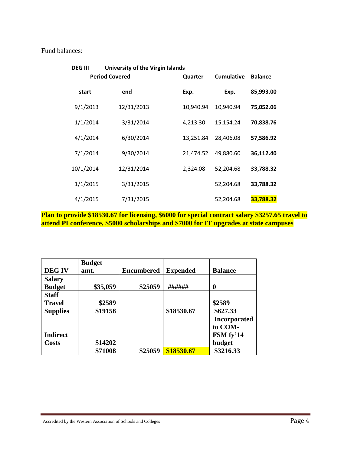Fund balances:

| <b>DEG III</b> | <b>University of the Virgin Islands</b> |           |                   |                |
|----------------|-----------------------------------------|-----------|-------------------|----------------|
|                | <b>Period Covered</b>                   | Quarter   | <b>Cumulative</b> | <b>Balance</b> |
| start          | end                                     | Exp.      | Exp.              | 85,993.00      |
| 9/1/2013       | 12/31/2013                              | 10,940.94 | 10,940.94         | 75,052.06      |
| 1/1/2014       | 3/31/2014                               | 4,213.30  | 15,154.24         | 70,838.76      |
| 4/1/2014       | 6/30/2014                               | 13,251.84 | 28,406.08         | 57,586.92      |
| 7/1/2014       | 9/30/2014                               | 21,474.52 | 49,880.60         | 36,112.40      |
| 10/1/2014      | 12/31/2014                              | 2,324.08  | 52,204.68         | 33,788.32      |
| 1/1/2015       | 3/31/2015                               |           | 52,204.68         | 33,788.32      |
| 4/1/2015       | 7/31/2015                               |           | 52,204.68         | 33,788.32      |

**Plan to provide \$18530.67 for licensing, \$6000 for special contract salary \$3257.65 travel to attend PI conference, \$5000 scholarships and \$7000 for IT upgrades at state campuses**

|                 | <b>Budget</b> |                   |                 |                     |
|-----------------|---------------|-------------------|-----------------|---------------------|
| <b>DEGIV</b>    | amt.          | <b>Encumbered</b> | <b>Expended</b> | <b>Balance</b>      |
| <b>Salary</b>   |               |                   |                 |                     |
| <b>Budget</b>   | \$35,059      | \$25059           | ######          | $\boldsymbol{0}$    |
| <b>Staff</b>    |               |                   |                 |                     |
| <b>Travel</b>   | \$2589        |                   |                 | \$2589              |
| <b>Supplies</b> | \$19158       |                   | \$18530.67      | \$627.33            |
|                 |               |                   |                 | <b>Incorporated</b> |
|                 |               |                   |                 | to COM-             |
| <b>Indirect</b> |               |                   |                 | FSM fy'14           |
| <b>Costs</b>    | \$14202       |                   |                 | budget              |
|                 | \$71008       | \$25059           | \$18530.67      | \$3216.33           |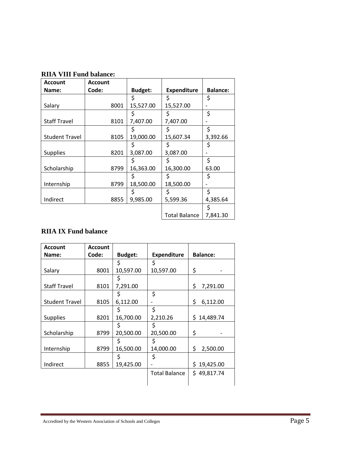| <b>Account</b>        | <b>Account</b> |                |                      |                 |
|-----------------------|----------------|----------------|----------------------|-----------------|
| Name:                 | Code:          | <b>Budget:</b> | <b>Expenditure</b>   | <b>Balance:</b> |
|                       |                | \$             | \$                   | \$              |
| Salary                | 8001           | 15,527.00      | 15,527.00            |                 |
|                       |                |                |                      | \$              |
| <b>Staff Travel</b>   | 8101           | 7,407.00       | 7,407.00             |                 |
|                       |                |                |                      | \$              |
| <b>Student Travel</b> | 8105           | 19,000.00      | 15,607.34            | 3,392.66        |
|                       |                | Ś              | Ś                    | \$              |
| <b>Supplies</b>       | 8201           | 3,087.00       | 3,087.00             |                 |
|                       |                | \$             | \$                   | \$              |
| Scholarship           | 8799           | 16,363.00      | 16,300.00            | 63.00           |
|                       |                | \$             | \$                   | \$              |
| Internship            | 8799           | 18,500.00      | 18,500.00            |                 |
|                       |                | \$             | \$                   | \$              |
| Indirect              | 8855           | 9,985.00       | 5,599.36             | 4,385.64        |
|                       |                |                |                      | \$              |
|                       |                |                | <b>Total Balance</b> | 7,841.30        |

### **RIIA VIII Fund balance:**

## **RIIA IX Fund balance**

| <b>Account</b>        | <b>Account</b> |                |                      |                  |
|-----------------------|----------------|----------------|----------------------|------------------|
| Name:                 | Code:          | <b>Budget:</b> | <b>Expenditure</b>   | <b>Balance:</b>  |
|                       |                | \$             | \$                   |                  |
| Salary                | 8001           | 10,597.00      | 10,597.00            | \$               |
|                       |                | \$             |                      |                  |
| <b>Staff Travel</b>   | 8101           | 7,291.00       |                      | \$<br>7,291.00   |
|                       |                | S              | \$                   |                  |
| <b>Student Travel</b> | 8105           | 6,112.00       |                      | \$<br>6,112.00   |
|                       |                | Ś              | \$                   |                  |
| <b>Supplies</b>       | 8201           | 16,700.00      | 2,210.26             | \$<br>14,489.74  |
|                       |                | \$             | \$                   |                  |
| Scholarship           | 8799           | 20,500.00      | 20,500.00            | \$               |
|                       |                | Ś              | \$                   |                  |
| Internship            | 8799           | 16,500.00      | 14,000.00            | \$<br>2,500.00   |
|                       |                | S              | \$                   |                  |
| Indirect              | 8855           | 19,425.00      |                      | 19,425.00<br>\$. |
|                       |                |                | <b>Total Balance</b> | \$49,817.74      |
|                       |                |                |                      |                  |